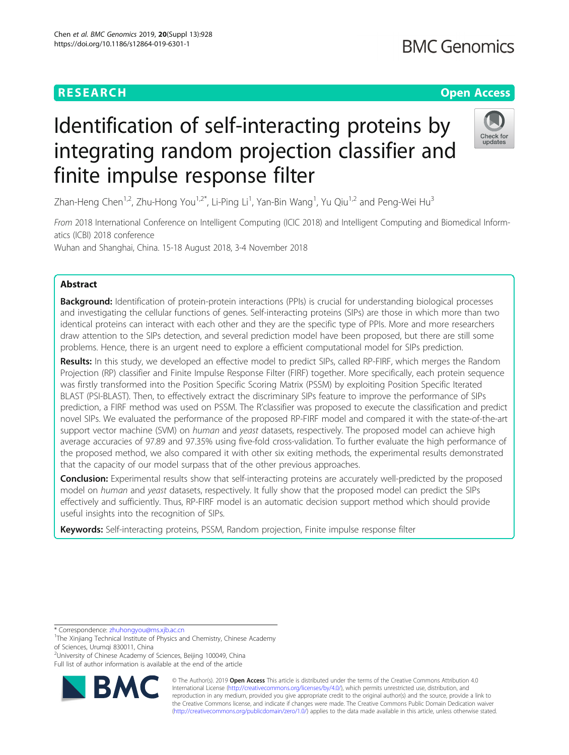# **RESEARCH CHEAR CHEAR CHEAR CHEAR CHEAR CHEAP CONTROL**

# **BMC Genomics**

# Identification of self-interacting proteins by integrating random projection classifier and finite impulse response filter



Zhan-Heng Chen<sup>1,2</sup>, Zhu-Hong You<sup>1,2\*</sup>, Li-Ping Li<sup>1</sup>, Yan-Bin Wang<sup>1</sup>, Yu Qiu<sup>1,2</sup> and Peng-Wei Hu<sup>3</sup>

From 2018 International Conference on Intelligent Computing (ICIC 2018) and Intelligent Computing and Biomedical Informatics (ICBI) 2018 conference

Wuhan and Shanghai, China. 15-18 August 2018, 3-4 November 2018

# Abstract

**Background:** Identification of protein-protein interactions (PPIs) is crucial for understanding biological processes and investigating the cellular functions of genes. Self-interacting proteins (SIPs) are those in which more than two identical proteins can interact with each other and they are the specific type of PPIs. More and more researchers draw attention to the SIPs detection, and several prediction model have been proposed, but there are still some problems. Hence, there is an urgent need to explore a efficient computational model for SIPs prediction.

Results: In this study, we developed an effective model to predict SIPs, called RP-FIRF, which merges the Random Projection (RP) classifier and Finite Impulse Response Filter (FIRF) together. More specifically, each protein sequence was firstly transformed into the Position Specific Scoring Matrix (PSSM) by exploiting Position Specific Iterated BLAST (PSI-BLAST). Then, to effectively extract the discriminary SIPs feature to improve the performance of SIPs prediction, a FIRF method was used on PSSM. The R'classifier was proposed to execute the classification and predict novel SIPs. We evaluated the performance of the proposed RP-FIRF model and compared it with the state-of-the-art support vector machine (SVM) on human and yeast datasets, respectively. The proposed model can achieve high average accuracies of 97.89 and 97.35% using five-fold cross-validation. To further evaluate the high performance of the proposed method, we also compared it with other six exiting methods, the experimental results demonstrated that the capacity of our model surpass that of the other previous approaches.

Conclusion: Experimental results show that self-interacting proteins are accurately well-predicted by the proposed model on human and yeast datasets, respectively. It fully show that the proposed model can predict the SIPs effectively and sufficiently. Thus, RP-FIRF model is an automatic decision support method which should provide useful insights into the recognition of SIPs.

Keywords: Self-interacting proteins, PSSM, Random projection, Finite impulse response filter

\* Correspondence: [zhuhongyou@ms.xjb.ac.cn](mailto:zhuhongyou@ms.xjb.ac.cn) <sup>1</sup>

2 University of Chinese Academy of Sciences, Beijing 100049, China Full list of author information is available at the end of the article



© The Author(s). 2019 **Open Access** This article is distributed under the terms of the Creative Commons Attribution 4.0 International License [\(http://creativecommons.org/licenses/by/4.0/](http://creativecommons.org/licenses/by/4.0/)), which permits unrestricted use, distribution, and reproduction in any medium, provided you give appropriate credit to the original author(s) and the source, provide a link to the Creative Commons license, and indicate if changes were made. The Creative Commons Public Domain Dedication waiver [\(http://creativecommons.org/publicdomain/zero/1.0/](http://creativecommons.org/publicdomain/zero/1.0/)) applies to the data made available in this article, unless otherwise stated.

<sup>&</sup>lt;sup>1</sup>The Xinjiang Technical Institute of Physics and Chemistry, Chinese Academy of Sciences, Urumqi 830011, China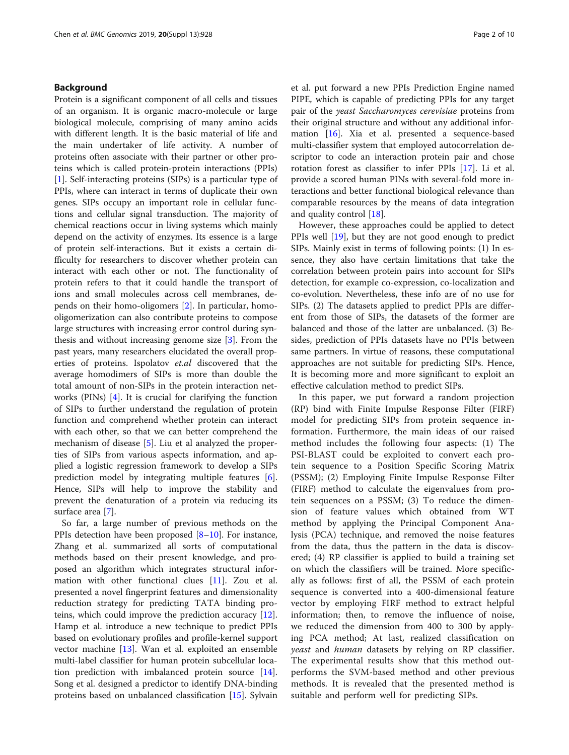## Background

Protein is a significant component of all cells and tissues of an organism. It is organic macro-molecule or large biological molecule, comprising of many amino acids with different length. It is the basic material of life and the main undertaker of life activity. A number of proteins often associate with their partner or other proteins which is called protein-protein interactions (PPIs) [[1\]](#page-8-0). Self-interacting proteins (SIPs) is a particular type of PPIs, where can interact in terms of duplicate their own genes. SIPs occupy an important role in cellular functions and cellular signal transduction. The majority of chemical reactions occur in living systems which mainly depend on the activity of enzymes. Its essence is a large of protein self-interactions. But it exists a certain difficulty for researchers to discover whether protein can interact with each other or not. The functionality of protein refers to that it could handle the transport of ions and small molecules across cell membranes, depends on their homo-oligomers [\[2](#page-8-0)]. In particular, homooligomerization can also contribute proteins to compose large structures with increasing error control during synthesis and without increasing genome size [[3](#page-8-0)]. From the past years, many researchers elucidated the overall properties of proteins. Ispolatov et.al discovered that the average homodimers of SIPs is more than double the total amount of non-SIPs in the protein interaction networks (PINs) [[4\]](#page-8-0). It is crucial for clarifying the function of SIPs to further understand the regulation of protein function and comprehend whether protein can interact with each other, so that we can better comprehend the mechanism of disease [\[5](#page-8-0)]. Liu et al analyzed the properties of SIPs from various aspects information, and applied a logistic regression framework to develop a SIPs prediction model by integrating multiple features [\[6](#page-8-0)]. Hence, SIPs will help to improve the stability and prevent the denaturation of a protein via reducing its surface area [\[7](#page-8-0)].

So far, a large number of previous methods on the PPIs detection have been proposed [\[8](#page-8-0)–[10\]](#page-8-0). For instance, Zhang et al. summarized all sorts of computational methods based on their present knowledge, and proposed an algorithm which integrates structural information with other functional clues [[11](#page-8-0)]. Zou et al. presented a novel fingerprint features and dimensionality reduction strategy for predicting TATA binding proteins, which could improve the prediction accuracy [\[12](#page-8-0)]. Hamp et al. introduce a new technique to predict PPIs based on evolutionary profiles and profile-kernel support vector machine [\[13](#page-8-0)]. Wan et al. exploited an ensemble multi-label classifier for human protein subcellular location prediction with imbalanced protein source [\[14](#page-8-0)]. Song et al. designed a predictor to identify DNA-binding proteins based on unbalanced classification [\[15\]](#page-8-0). Sylvain et al. put forward a new PPIs Prediction Engine named PIPE, which is capable of predicting PPIs for any target pair of the yeast Saccharomyces cerevisiae proteins from their original structure and without any additional information [[16](#page-8-0)]. Xia et al. presented a sequence-based multi-classifier system that employed autocorrelation descriptor to code an interaction protein pair and chose rotation forest as classifier to infer PPIs [[17](#page-8-0)]. Li et al. provide a scored human PINs with several-fold more interactions and better functional biological relevance than comparable resources by the means of data integration and quality control [[18\]](#page-8-0).

However, these approaches could be applied to detect PPIs well [[19](#page-8-0)], but they are not good enough to predict SIPs. Mainly exist in terms of following points: (1) In essence, they also have certain limitations that take the correlation between protein pairs into account for SIPs detection, for example co-expression, co-localization and co-evolution. Nevertheless, these info are of no use for SIPs. (2) The datasets applied to predict PPIs are different from those of SIPs, the datasets of the former are balanced and those of the latter are unbalanced. (3) Besides, prediction of PPIs datasets have no PPIs between same partners. In virtue of reasons, these computational approaches are not suitable for predicting SIPs. Hence, It is becoming more and more significant to exploit an effective calculation method to predict SIPs.

In this paper, we put forward a random projection (RP) bind with Finite Impulse Response Filter (FIRF) model for predicting SIPs from protein sequence information. Furthermore, the main ideas of our raised method includes the following four aspects: (1) The PSI-BLAST could be exploited to convert each protein sequence to a Position Specific Scoring Matrix (PSSM); (2) Employing Finite Impulse Response Filter (FIRF) method to calculate the eigenvalues from protein sequences on a PSSM; (3) To reduce the dimension of feature values which obtained from WT method by applying the Principal Component Analysis (PCA) technique, and removed the noise features from the data, thus the pattern in the data is discovered; (4) RP classifier is applied to build a training set on which the classifiers will be trained. More specifically as follows: first of all, the PSSM of each protein sequence is converted into a 400-dimensional feature vector by employing FIRF method to extract helpful information; then, to remove the influence of noise, we reduced the dimension from 400 to 300 by applying PCA method; At last, realized classification on yeast and human datasets by relying on RP classifier. The experimental results show that this method outperforms the SVM-based method and other previous methods. It is revealed that the presented method is suitable and perform well for predicting SIPs.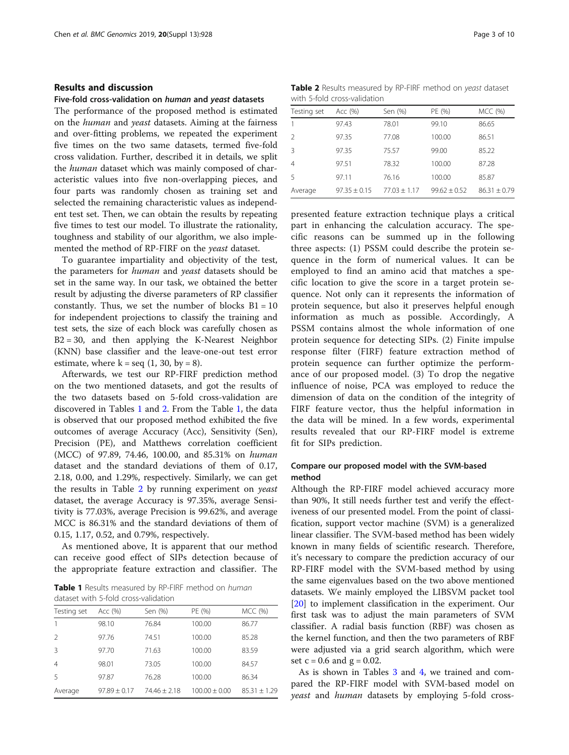### Results and discussion

#### Five-fold cross-validation on human and yeast datasets

The performance of the proposed method is estimated on the human and yeast datasets. Aiming at the fairness and over-fitting problems, we repeated the experiment five times on the two same datasets, termed five-fold cross validation. Further, described it in details, we split the human dataset which was mainly composed of characteristic values into five non-overlapping pieces, and four parts was randomly chosen as training set and selected the remaining characteristic values as independent test set. Then, we can obtain the results by repeating five times to test our model. To illustrate the rationality, toughness and stability of our algorithm, we also implemented the method of RP-FIRF on the yeast dataset.

To guarantee impartiality and objectivity of the test, the parameters for human and yeast datasets should be set in the same way. In our task, we obtained the better result by adjusting the diverse parameters of RP classifier constantly. Thus, we set the number of blocks  $B1 = 10$ for independent projections to classify the training and test sets, the size of each block was carefully chosen as  $B2 = 30$ , and then applying the K-Nearest Neighbor (KNN) base classifier and the leave-one-out test error estimate, where  $k = seq$  (1, 30, by = 8).

Afterwards, we test our RP-FIRF prediction method on the two mentioned datasets, and got the results of the two datasets based on 5-fold cross-validation are discovered in Tables 1 and 2. From the Table 1, the data is observed that our proposed method exhibited the five outcomes of average Accuracy (Acc), Sensitivity (Sen), Precision (PE), and Matthews correlation coefficient (MCC) of 97.89, 74.46, 100.00, and 85.31% on human dataset and the standard deviations of them of 0.17, 2.18, 0.00, and 1.29%, respectively. Similarly, we can get the results in Table 2 by running experiment on yeast dataset, the average Accuracy is 97.35%, average Sensitivity is 77.03%, average Precision is 99.62%, and average MCC is 86.31% and the standard deviations of them of 0.15, 1.17, 0.52, and 0.79%, respectively.

As mentioned above, It is apparent that our method can receive good effect of SIPs detection because of the appropriate feature extraction and classifier. The

Table 1 Results measured by RP-FIRF method on human dataset with 5-fold cross-validation

| Testing set | Acc (%)        | Sen (%)        | PE (%)          | <b>MCC (%)</b>   |
|-------------|----------------|----------------|-----------------|------------------|
|             | 98.10          | 76.84          | 100.00          | 86.77            |
| 2           | 97.76          | 74.51          | 100.00          | 85.28            |
| 3           | 97.70          | 71.63          | 100.00          | 83.59            |
| 4           | 98.01          | 73.05          | 100.00          | 84.57            |
| 5           | 97.87          | 76.28          | 100.00          | 86.34            |
| Average     | $97.89 + 0.17$ | $74.46 + 2.18$ | $100.00 + 0.00$ | $85.31 \pm 1.29$ |

Table 2 Results measured by RP-FIRF method on yeast dataset with 5-fold cross-validation

| Testing set    | Acc(%)           | Sen (%)          | PE (%)           | <b>MCC (%)</b>   |  |
|----------------|------------------|------------------|------------------|------------------|--|
| 1              | 97.43            | 78.01            | 99.10            | 86.65            |  |
| $\mathfrak{D}$ | 97.35            | 77.08            | 100.00           | 86.51            |  |
| 3              | 97.35            | 75.57            | 99.00            | 85.22            |  |
| $\overline{4}$ | 97.51            | 78.32            | 100.00           | 87.28            |  |
| 5              | 97.11            | 76.16            | 100.00           | 85.87            |  |
| Average        | $97.35 \pm 0.15$ | $77.03 \pm 1.17$ | $99.62 \pm 0.52$ | $86.31 \pm 0.79$ |  |

presented feature extraction technique plays a critical part in enhancing the calculation accuracy. The specific reasons can be summed up in the following three aspects: (1) PSSM could describe the protein sequence in the form of numerical values. It can be employed to find an amino acid that matches a specific location to give the score in a target protein sequence. Not only can it represents the information of protein sequence, but also it preserves helpful enough information as much as possible. Accordingly, A PSSM contains almost the whole information of one protein sequence for detecting SIPs. (2) Finite impulse response filter (FIRF) feature extraction method of protein sequence can further optimize the performance of our proposed model. (3) To drop the negative influence of noise, PCA was employed to reduce the dimension of data on the condition of the integrity of FIRF feature vector, thus the helpful information in the data will be mined. In a few words, experimental results revealed that our RP-FIRF model is extreme fit for SIPs prediction.

# Compare our proposed model with the SVM-based method

Although the RP-FIRF model achieved accuracy more than 90%, It still needs further test and verify the effectiveness of our presented model. From the point of classification, support vector machine (SVM) is a generalized linear classifier. The SVM-based method has been widely known in many fields of scientific research. Therefore, it's necessary to compare the prediction accuracy of our RP-FIRF model with the SVM-based method by using the same eigenvalues based on the two above mentioned datasets. We mainly employed the LIBSVM packet tool [[20\]](#page-8-0) to implement classification in the experiment. Our first task was to adjust the main parameters of SVM classifier. A radial basis function (RBF) was chosen as the kernel function, and then the two parameters of RBF were adjusted via a grid search algorithm, which were set  $c = 0.6$  and  $g = 0.02$ .

As is shown in Tables [3](#page-3-0) and [4,](#page-3-0) we trained and compared the RP-FIRF model with SVM-based model on yeast and human datasets by employing 5-fold cross-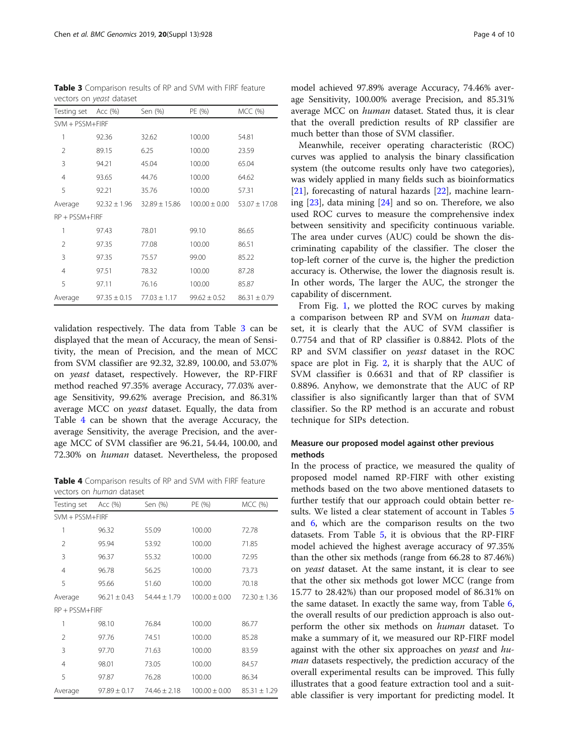<span id="page-3-0"></span>Table 3 Comparison results of RP and SVM with FIRF feature vectors on yeast dataset

| Testing set         | Acc (%)          | Sen (%)           | PE (%)            | MCC (%)           |  |
|---------------------|------------------|-------------------|-------------------|-------------------|--|
| $SVM + PSSM + FIRF$ |                  |                   |                   |                   |  |
| 1                   | 92.36            | 32.62             | 100.00            | 54.81             |  |
| 2                   | 89.15            | 6.25              | 100.00            | 23.59             |  |
| 3                   | 94.21            | 45.04             | 100.00            | 65.04             |  |
| 4                   | 93.65            | 44.76             | 100.00            | 64.62             |  |
| 5                   | 92.21            | 35.76             | 100.00            | 57.31             |  |
| Average             | $92.32 \pm 1.96$ | $32.89 \pm 15.86$ | $100.00 \pm 0.00$ | $53.07 \pm 17.08$ |  |
| $RP + PSSM + FIRF$  |                  |                   |                   |                   |  |
| 1                   | 97.43            | 78.01             | 99.10             | 86.65             |  |
| 2                   | 97.35            | 77.08             | 100.00            | 86.51             |  |
| 3                   | 97.35            | 75.57             | 99.00             | 85.22             |  |
| $\overline{4}$      | 97.51            | 78.32             | 100.00            | 87.28             |  |
| 5                   | 97.11            | 76.16             | 100.00            | 85.87             |  |
| Average             | $97.35 \pm 0.15$ | $77.03 \pm 1.17$  | $99.62 \pm 0.52$  | $86.31 \pm 0.79$  |  |

validation respectively. The data from Table 3 can be displayed that the mean of Accuracy, the mean of Sensitivity, the mean of Precision, and the mean of MCC from SVM classifier are 92.32, 32.89, 100.00, and 53.07% on yeast dataset, respectively. However, the RP-FIRF method reached 97.35% average Accuracy, 77.03% average Sensitivity, 99.62% average Precision, and 86.31% average MCC on yeast dataset. Equally, the data from Table 4 can be shown that the average Accuracy, the average Sensitivity, the average Precision, and the average MCC of SVM classifier are 96.21, 54.44, 100.00, and 72.30% on human dataset. Nevertheless, the proposed

Table 4 Comparison results of RP and SVM with FIRF feature vectors on human dataset

| Testing set         | Acc $(% )$       | Sen (%)          | PE (%)            | <b>MCC</b> (%)   |
|---------------------|------------------|------------------|-------------------|------------------|
| $SVM + PSSM + FIRF$ |                  |                  |                   |                  |
| 1                   | 96.32            | 55.09            | 100.00            | 72.78            |
| $\mathfrak{D}$      | 95.94            | 53.92            | 100.00            | 71.85            |
| 3                   | 96.37            | 55.32            | 100.00            | 72.95            |
| 4                   | 96.78            | 56.25            | 100.00            | 73.73            |
| 5                   | 95.66            | 51.60            | 100.00            | 70.18            |
| Average             | $96.21 \pm 0.43$ | $54.44 \pm 1.79$ | $100.00 \pm 0.00$ | $72.30 \pm 1.36$ |
| $RP + PSSM + FIRF$  |                  |                  |                   |                  |
| 1                   | 98.10            | 76.84            | 100.00            | 86.77            |
| 2                   | 97.76            | 74.51            | 100.00            | 85.28            |
| 3                   | 97.70            | 71.63            | 100.00            | 83.59            |
| 4                   | 98.01            | 73.05            | 100.00            | 84.57            |
| 5                   | 97.87            | 76.28            | 100.00            | 86.34            |
| Average             | $97.89 \pm 0.17$ | $74.46 \pm 2.18$ | $100.00 \pm 0.00$ | $85.31 \pm 1.29$ |

model achieved 97.89% average Accuracy, 74.46% average Sensitivity, 100.00% average Precision, and 85.31% average MCC on human dataset. Stated thus, it is clear that the overall prediction results of RP classifier are much better than those of SVM classifier.

Meanwhile, receiver operating characteristic (ROC) curves was applied to analysis the binary classification system (the outcome results only have two categories), was widely applied in many fields such as bioinformatics [[21\]](#page-8-0), forecasting of natural hazards [\[22](#page-8-0)], machine learning [[23\]](#page-8-0), data mining [[24](#page-8-0)] and so on. Therefore, we also used ROC curves to measure the comprehensive index between sensitivity and specificity continuous variable. The area under curves (AUC) could be shown the discriminating capability of the classifier. The closer the top-left corner of the curve is, the higher the prediction accuracy is. Otherwise, the lower the diagnosis result is. In other words, The larger the AUC, the stronger the capability of discernment.

From Fig. [1,](#page-4-0) we plotted the ROC curves by making a comparison between RP and SVM on human dataset, it is clearly that the AUC of SVM classifier is 0.7754 and that of RP classifier is 0.8842. Plots of the RP and SVM classifier on yeast dataset in the ROC space are plot in Fig. [2,](#page-4-0) it is sharply that the AUC of SVM classifier is 0.6631 and that of RP classifier is 0.8896. Anyhow, we demonstrate that the AUC of RP classifier is also significantly larger than that of SVM classifier. So the RP method is an accurate and robust technique for SIPs detection.

# Measure our proposed model against other previous methods

In the process of practice, we measured the quality of proposed model named RP-FIRF with other existing methods based on the two above mentioned datasets to further testify that our approach could obtain better results. We listed a clear statement of account in Tables [5](#page-5-0) and [6](#page-5-0), which are the comparison results on the two datasets. From Table [5,](#page-5-0) it is obvious that the RP-FIRF model achieved the highest average accuracy of 97.35% than the other six methods (range from 66.28 to 87.46%) on yeast dataset. At the same instant, it is clear to see that the other six methods got lower MCC (range from 15.77 to 28.42%) than our proposed model of 86.31% on the same dataset. In exactly the same way, from Table [6](#page-5-0), the overall results of our prediction approach is also outperform the other six methods on human dataset. To make a summary of it, we measured our RP-FIRF model against with the other six approaches on yeast and human datasets respectively, the prediction accuracy of the overall experimental results can be improved. This fully illustrates that a good feature extraction tool and a suitable classifier is very important for predicting model. It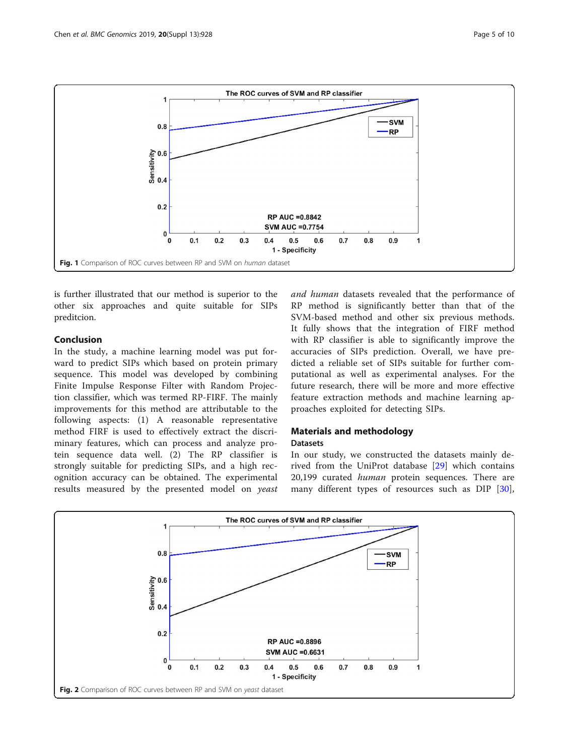<span id="page-4-0"></span>

is further illustrated that our method is superior to the other six approaches and quite suitable for SIPs preditcion.

# Conclusion

In the study, a machine learning model was put forward to predict SIPs which based on protein primary sequence. This model was developed by combining Finite Impulse Response Filter with Random Projection classifier, which was termed RP-FIRF. The mainly improvements for this method are attributable to the following aspects: (1) A reasonable representative method FIRF is used to effectively extract the discriminary features, which can process and analyze protein sequence data well. (2) The RP classifier is strongly suitable for predicting SIPs, and a high recognition accuracy can be obtained. The experimental results measured by the presented model on yeast and human datasets revealed that the performance of RP method is significantly better than that of the SVM-based method and other six previous methods. It fully shows that the integration of FIRF method with RP classifier is able to significantly improve the accuracies of SIPs prediction. Overall, we have predicted a reliable set of SIPs suitable for further computational as well as experimental analyses. For the future research, there will be more and more effective feature extraction methods and machine learning approaches exploited for detecting SIPs.

# Materials and methodology

### **Datasets**

In our study, we constructed the datasets mainly derived from the UniProt database [[29\]](#page-8-0) which contains 20,199 curated human protein sequences. There are many different types of resources such as DIP [\[30](#page-8-0)],

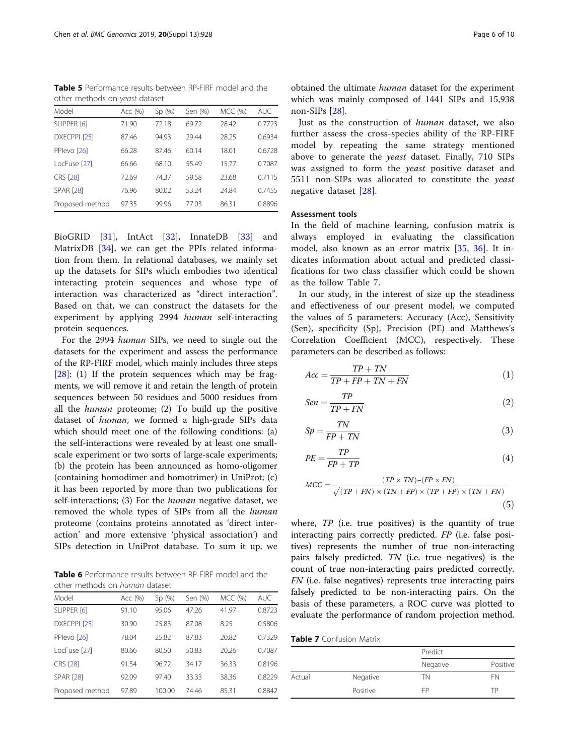<span id="page-5-0"></span>Table 5 Performance results between RP-FIRF model and the other methods on yeast dataset

| Model                   | Acc (%) | Sp(%) | Sen (%) | <b>MCC (%)</b> | AUC    |
|-------------------------|---------|-------|---------|----------------|--------|
| SLIPPER <sub>[6]</sub>  | 71.90   | 72.18 | 69.72   | 28.42          | 0.7723 |
| DXECPPI <sub>[25]</sub> | 87.46   | 94.93 | 29.44   | 28.25          | 0.6934 |
| PPlevo <sup>[26]</sup>  | 66.28   | 87.46 | 60.14   | 18.01          | 0.6728 |
| LocFuse [27]            | 66.66   | 68.10 | 55.49   | 15.77          | 0.7087 |
| <b>CRS [28]</b>         | 72.69   | 74.37 | 59.58   | 23.68          | 0.7115 |
| <b>SPAR [28]</b>        | 76.96   | 80.02 | 53.24   | 24.84          | 0.7455 |
| Proposed method         | 97.35   | 99.96 | 77.03   | 86.31          | 0.8896 |

BioGRID [[31\]](#page-8-0), IntAct [[32\]](#page-8-0), InnateDB [[33](#page-8-0)] and MatrixDB [\[34](#page-8-0)], we can get the PPIs related information from them. In relational databases, we mainly set up the datasets for SIPs which embodies two identical interacting protein sequences and whose type of interaction was characterized as "direct interaction". Based on that, we can construct the datasets for the experiment by applying 2994 human self-interacting protein sequences.

For the 2994 human SIPs, we need to single out the datasets for the experiment and assess the performance of the RP-FIRF model, which mainly includes three steps  $[28]$  $[28]$ : (1) If the protein sequences which may be fragments, we will remove it and retain the length of protein sequences between 50 residues and 5000 residues from all the human proteome; (2) To build up the positive dataset of human, we formed a high-grade SIPs data which should meet one of the following conditions: (a) the self-interactions were revealed by at least one smallscale experiment or two sorts of large-scale experiments; (b) the protein has been announced as homo-oligomer (containing homodimer and homotrimer) in UniProt; (c) it has been reported by more than two publications for self-interactions; (3) For the *human* negative dataset, we removed the whole types of SIPs from all the human proteome (contains proteins annotated as 'direct interaction' and more extensive 'physical association') and SIPs detection in UniProt database. To sum it up, we

Table 6 Performance results between RP-FIRF model and the other methods on human dataset

| Model                   | Acc (%) | Sp(%)  | Sen (%) | <b>MCC (%)</b> | AUC    |
|-------------------------|---------|--------|---------|----------------|--------|
| SLIPPER <sub>[6]</sub>  | 91.10   | 95.06  | 47.26   | 41.97          | 0.8723 |
| DXECPPI <sub>[25]</sub> | 30.90   | 25.83  | 87.08   | 8.25           | 0.5806 |
| PPlevo <sup>[26]</sup>  | 78.04   | 25.82  | 87.83   | 20.82          | 0.7329 |
| LocFuse [27]            | 80.66   | 80.50  | 50.83   | 20.26          | 0.7087 |
| <b>CRS [28]</b>         | 91.54   | 96.72  | 34.17   | 36.33          | 0.8196 |
| <b>SPAR [28]</b>        | 92.09   | 97.40  | 33.33   | 38.36          | 0.8229 |
| Proposed method         | 97.89   | 100.00 | 74.46   | 85.31          | 0.8842 |

obtained the ultimate human dataset for the experiment which was mainly composed of 1441 SIPs and 15,938 non-SIPs [[28\]](#page-8-0).

Just as the construction of human dataset, we also further assess the cross-species ability of the RP-FIRF model by repeating the same strategy mentioned above to generate the yeast dataset. Finally, 710 SIPs was assigned to form the yeast positive dataset and 5511 non-SIPs was allocated to constitute the yeast negative dataset [\[28](#page-8-0)].

# Assessment tools

In the field of machine learning, confusion matrix is always employed in evaluating the classification model, also known as an error matrix [[35,](#page-8-0) [36\]](#page-8-0). It indicates information about actual and predicted classifications for two class classifier which could be shown as the follow Table 7.

In our study, in the interest of size up the steadiness and effectiveness of our present model, we computed the values of 5 parameters: Accuracy (Acc), Sensitivity (Sen), specificity (Sp), Precision (PE) and Matthews's Correlation Coefficient (MCC), respectively. These parameters can be described as follows:

$$
Acc = \frac{TP + TN}{TP + FP + TN + FN}
$$
 (1)

$$
Sen = \frac{TP}{TP + FN} \tag{2}
$$

$$
Sp = \frac{TN}{FP + TN}
$$
\n<sup>(3)</sup>

$$
PE = \frac{TP}{FP + TP}
$$
\n<sup>(4)</sup>

$$
MCC = \frac{(TP \times TN) - (FP \times FN)}{\sqrt{(TP + FN) \times (TN + FP) \times (TP + FP) \times (TN + FN)}}
$$
\n(5)

where,  $TP$  (i.e. true positives) is the quantity of true interacting pairs correctly predicted. FP (i.e. false positives) represents the number of true non-interacting pairs falsely predicted. TN (i.e. true negatives) is the count of true non-interacting pairs predicted correctly. FN (i.e. false negatives) represents true interacting pairs falsely predicted to be non-interacting pairs. On the basis of these parameters, a ROC curve was plotted to evaluate the performance of random projection method.

Table 7 Confusion Matrix

|        |          | Predict  |          |  |
|--------|----------|----------|----------|--|
|        |          | Negative | Positive |  |
| Actual | Negative | TΝ       | FN       |  |
|        | Positive | FP       | ТP       |  |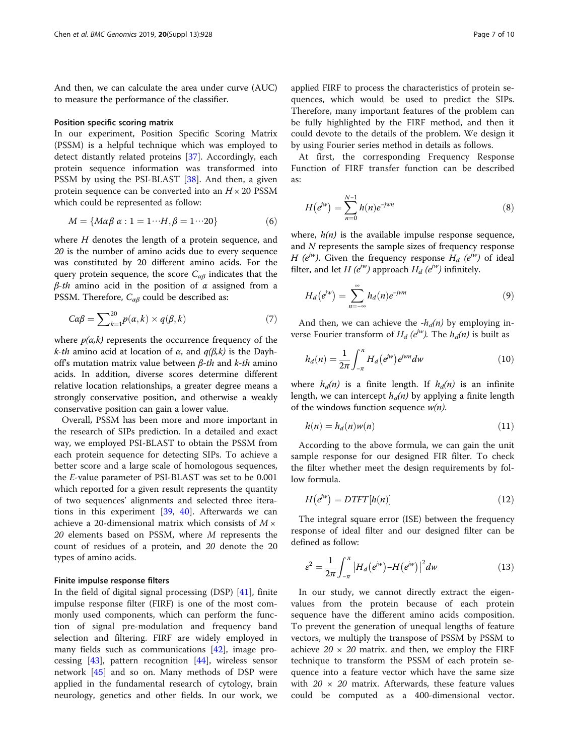And then, we can calculate the area under curve (AUC) to measure the performance of the classifier.

# Position specific scoring matrix

In our experiment, Position Specific Scoring Matrix (PSSM) is a helpful technique which was employed to detect distantly related proteins [\[37\]](#page-8-0). Accordingly, each protein sequence information was transformed into PSSM by using the PSI-BLAST [[38](#page-8-0)]. And then, a given protein sequence can be converted into an  $H \times 20$  PSSM which could be represented as follow:

$$
M = \{M\alpha\beta\ \alpha : 1 = 1 \cdots H, \beta = 1 \cdots 20\}
$$
 (6)

where  $H$  denotes the length of a protein sequence, and 20 is the number of amino acids due to every sequence was constituted by 20 different amino acids. For the query protein sequence, the score  $C_{\alpha\beta}$  indicates that the  $β$ -th amino acid in the position of  $α$  assigned from a PSSM. Therefore,  $C_{\alpha\beta}$  could be described as:

$$
C\alpha\beta = \sum_{k=1}^{20} p(\alpha, k) \times q(\beta, k) \tag{7}
$$

where  $p(\alpha, k)$  represents the occurrence frequency of the k-th amino acid at location of  $\alpha$ , and  $q(\beta,k)$  is the Dayhoff's mutation matrix value between  $\beta$ -th and k-th amino acids. In addition, diverse scores determine different relative location relationships, a greater degree means a strongly conservative position, and otherwise a weakly conservative position can gain a lower value.

Overall, PSSM has been more and more important in the research of SIPs prediction. In a detailed and exact way, we employed PSI-BLAST to obtain the PSSM from each protein sequence for detecting SIPs. To achieve a better score and a large scale of homologous sequences, the E-value parameter of PSI-BLAST was set to be 0.001 which reported for a given result represents the quantity of two sequences' alignments and selected three iterations in this experiment [[39,](#page-9-0) [40](#page-9-0)]. Afterwards we can achieve a 20-dimensional matrix which consists of  $M \times$ 20 elements based on PSSM, where M represents the count of residues of a protein, and 20 denote the 20 types of amino acids.

#### Finite impulse response filters

In the field of digital signal processing (DSP) [[41\]](#page-9-0), finite impulse response filter (FIRF) is one of the most commonly used components, which can perform the function of signal pre-modulation and frequency band selection and filtering. FIRF are widely employed in many fields such as communications [[42](#page-9-0)], image processing  $[43]$  $[43]$  $[43]$ , pattern recognition  $[44]$  $[44]$ , wireless sensor network [\[45](#page-9-0)] and so on. Many methods of DSP were applied in the fundamental research of cytology, brain neurology, genetics and other fields. In our work, we applied FIRF to process the characteristics of protein sequences, which would be used to predict the SIPs. Therefore, many important features of the problem can be fully highlighted by the FIRF method, and then it could devote to the details of the problem. We design it by using Fourier series method in details as follows.

At first, the corresponding Frequency Response Function of FIRF transfer function can be described as:

$$
H(e^{jw}) = \sum_{n=0}^{N-1} h(n)e^{-jwn}
$$
 (8)

where,  $h(n)$  is the available impulse response sequence, and N represents the sample sizes of frequency response H ( $e^{jw}$ ). Given the frequency response  $H_d$  ( $e^{jw}$ ) of ideal filter, and let H  $(e^{iw})$  approach  $H_d$   $(e^{iw})$  infinitely.

$$
H_d(e^{iw}) = \sum_{n=-\infty}^{\infty} h_d(n)e^{-jwn}
$$
 (9)

And then, we can achieve the  $-h<sub>d</sub>(n)$  by employing inverse Fourier transform of  $H_d (e^{iw})$ . The  $h_d(n)$  is built as

$$
h_d(n) = \frac{1}{2\pi} \int_{-\pi}^{\pi} H_d(e^{iw}) e^{iwn} dw
$$
 (10)

where  $h_d(n)$  is a finite length. If  $h_d(n)$  is an infinite length, we can intercept  $h_d(n)$  by applying a finite length of the windows function sequence  $w(n)$ .

$$
h(n) = h_d(n)w(n) \tag{11}
$$

According to the above formula, we can gain the unit sample response for our designed FIR filter. To check the filter whether meet the design requirements by follow formula.

$$
H(e^{jw}) = DTFT[h(n)] \qquad (12)
$$

The integral square error (ISE) between the frequency response of ideal filter and our designed filter can be defined as follow:

$$
\varepsilon^{2} = \frac{1}{2\pi} \int_{-\pi}^{\pi} |H_{d}(e^{jw}) - H(e^{jw})|^{2} dw \qquad (13)
$$

In our study, we cannot directly extract the eigenvalues from the protein because of each protein sequence have the different amino acids composition. To prevent the generation of unequal lengths of feature vectors, we multiply the transpose of PSSM by PSSM to achieve  $20 \times 20$  matrix. and then, we employ the FIRF technique to transform the PSSM of each protein sequence into a feature vector which have the same size with  $20 \times 20$  matrix. Afterwards, these feature values could be computed as a 400-dimensional vector.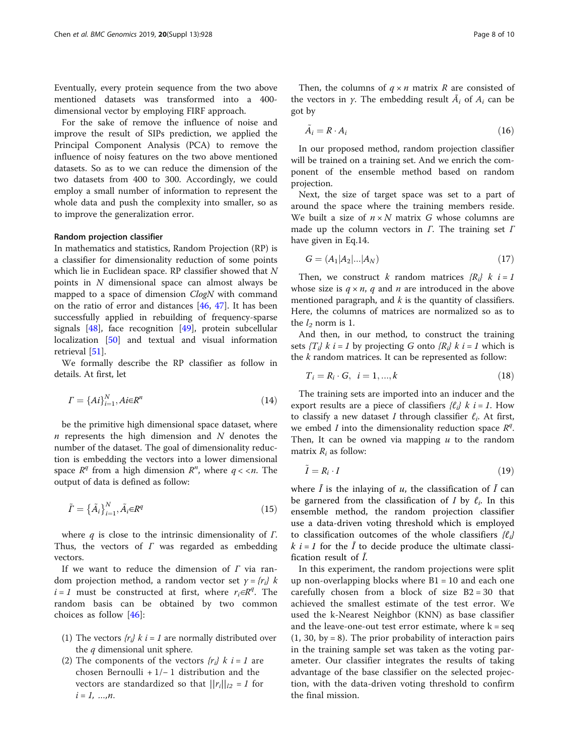Eventually, every protein sequence from the two above mentioned datasets was transformed into a 400 dimensional vector by employing FIRF approach.

For the sake of remove the influence of noise and improve the result of SIPs prediction, we applied the Principal Component Analysis (PCA) to remove the influence of noisy features on the two above mentioned datasets. So as to we can reduce the dimension of the two datasets from 400 to 300. Accordingly, we could employ a small number of information to represent the whole data and push the complexity into smaller, so as to improve the generalization error.

#### Random projection classifier

In mathematics and statistics, Random Projection (RP) is a classifier for dimensionality reduction of some points which lie in Euclidean space. RP classifier showed that N points in N dimensional space can almost always be mapped to a space of dimension *ClogN* with command on the ratio of error and distances [\[46,](#page-9-0) [47\]](#page-9-0). It has been successfully applied in rebuilding of frequency-sparse signals [[48\]](#page-9-0), face recognition [\[49](#page-9-0)], protein subcellular localization [\[50](#page-9-0)] and textual and visual information retrieval [\[51\]](#page-9-0).

We formally describe the RP classifier as follow in details. At first, let

$$
\Gamma = \{Ai\}_{i=1}^{N}, Ai \in \mathbb{R}^{n}
$$
\n<sup>(14)</sup>

be the primitive high dimensional space dataset, where  $n$  represents the high dimension and  $N$  denotes the number of the dataset. The goal of dimensionality reduction is embedding the vectors into a lower dimensional space  $R^q$  from a high dimension  $R^n$ , where  $q < n$ . The output of data is defined as follow:

$$
\tilde{\boldsymbol{\varGamma}} = \left\{ \tilde{\boldsymbol{A}}_i \right\}_{i=1}^N, \tilde{\boldsymbol{A}}_i \in \mathbb{R}^q \tag{15}
$$

where  $q$  is close to the intrinsic dimensionality of  $\Gamma$ . Thus, the vectors of  $\Gamma$  was regarded as embedding vectors.

If we want to reduce the dimension of Γ via random projection method, a random vector set  $\gamma = \{r_i\}$  k  $i = 1$  must be constructed at first, where  $r_i \in \mathbb{R}^q$ . The random basis can be obtained by two common choices as follow [\[46](#page-9-0)]:

- (1) The vectors  $\{r_i\}$  k i = 1 are normally distributed over the  $q$  dimensional unit sphere.
- (2) The components of the vectors  $\{r_i\}$  k i = 1 are chosen Bernoulli + 1/− 1 distribution and the vectors are standardized so that  $||r_i||_{l2} = 1$  for  $i = 1, ..., n$ .

Then, the columns of  $q \times n$  matrix R are consisted of the vectors in *γ*. The embedding result  $\tilde{A}_i$  of  $A_i$  can be got by

$$
\tilde{A}_i = R \cdot A_i \tag{16}
$$

In our proposed method, random projection classifier will be trained on a training set. And we enrich the component of the ensemble method based on random projection.

Next, the size of target space was set to a part of around the space where the training members reside. We built a size of  $n \times N$  matrix G whose columns are made up the column vectors in  $\Gamma$ . The training set  $\Gamma$ have given in Eq.14.

$$
G = (A_1 | A_2 | ... | A_N)
$$
 (17)

Then, we construct k random matrices  ${R_i}$  k  $i = 1$ whose size is  $q \times n$ , q and n are introduced in the above mentioned paragraph, and  $k$  is the quantity of classifiers. Here, the columns of matrices are normalized so as to the  $l_2$  norm is 1.

And then, in our method, to construct the training sets  $\{T_i\}$  k  $i=1$  by projecting G onto  $\{R_i\}$  k  $i=1$  which is the  $k$  random matrices. It can be represented as follow:

$$
T_i = R_i \cdot G, \ \ i = 1, ..., k \tag{18}
$$

The training sets are imported into an inducer and the export results are a piece of classifiers  $\{\ell_i\}$  k i = 1. How to classify a new dataset I through classifier  $\ell_i$ . At first, we embed *I* into the dimensionality reduction space  $R<sup>q</sup>$ . Then, It can be owned via mapping  $u$  to the random matrix  $R_i$  as follow:

$$
\tilde{I} = R_i \cdot I \tag{19}
$$

where  $\tilde{I}$  is the inlaying of u, the classification of  $\tilde{I}$  can be garnered from the classification of I by  $\ell_i$ . In this ensemble method, the random projection classifier use a data-driven voting threshold which is employed to classification outcomes of the whole classifiers  ${ \ell_i }$  $k$  *i* = 1 for the  $\tilde{I}$  to decide produce the ultimate classification result of Ĩ.

In this experiment, the random projections were split up non-overlapping blocks where  $B1 = 10$  and each one carefully chosen from a block of size  $B2 = 30$  that achieved the smallest estimate of the test error. We used the k-Nearest Neighbor (KNN) as base classifier and the leave-one-out test error estimate, where  $k = seq$  $(1, 30, \text{ by } = 8)$ . The prior probability of interaction pairs in the training sample set was taken as the voting parameter. Our classifier integrates the results of taking advantage of the base classifier on the selected projection, with the data-driven voting threshold to confirm the final mission.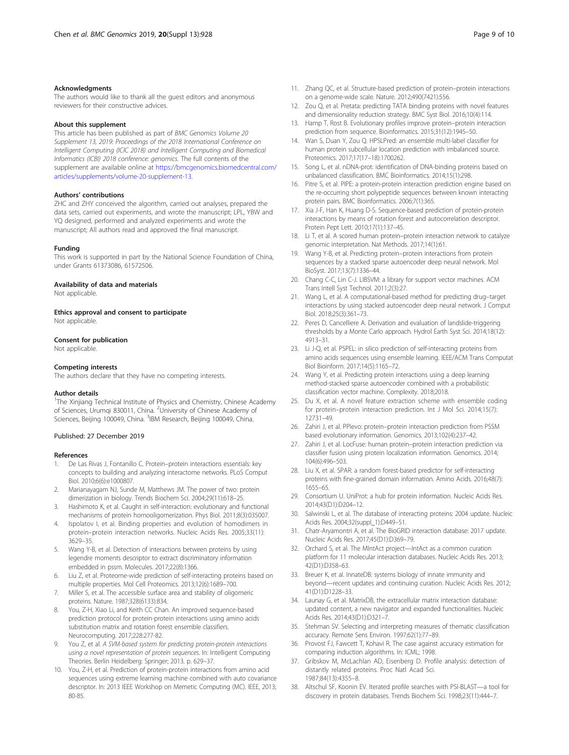#### <span id="page-8-0"></span>Acknowledgments

The authors would like to thank all the guest editors and anonymous reviewers for their constructive advices.

#### About this supplement

This article has been published as part of BMC Genomics Volume 20 Supplement 13, 2019: Proceedings of the 2018 International Conference on Intelligent Computing (ICIC 2018) and Intelligent Computing and Biomedical Informatics (ICBI) 2018 conference: genomics. The full contents of the supplement are available online at [https://bmcgenomics.biomedcentral.com/](https://bmcgenomics.biomedcentral.com/articles/supplements/volume-20-supplement-13) [articles/supplements/volume-20-supplement-13](https://bmcgenomics.biomedcentral.com/articles/supplements/volume-20-supplement-13).

#### Authors' contributions

ZHC and ZHY conceived the algorithm, carried out analyses, prepared the data sets, carried out experiments, and wrote the manuscript; LPL, YBW and YQ designed, performed and analyzed experiments and wrote the manuscript; All authors read and approved the final manuscript.

#### Funding

This work is supported in part by the National Science Foundation of China, under Grants 61373086, 61572506.

#### Availability of data and materials

Not applicable.

Ethics approval and consent to participate Not applicable.

#### Consent for publication

Not applicable.

#### Competing interests

The authors declare that they have no competing interests.

#### Author details

<sup>1</sup>The Xinjiang Technical Institute of Physics and Chemistry, Chinese Academy of Sciences, Urumqi 830011, China. <sup>2</sup>University of Chinese Academy of Sciences, Beijing 100049, China. <sup>3</sup>IBM Research, Beijing 100049, China.

#### Published: 27 December 2019

#### References

- 1. De Las Rivas J, Fontanillo C. Protein–protein interactions essentials: key concepts to building and analyzing interactome networks. PLoS Comput Biol. 2010;6(6):e1000807.
- 2. Marianayagam NJ, Sunde M, Matthews JM. The power of two: protein dimerization in biology. Trends Biochem Sci. 2004;29(11):618–25.
- 3. Hashimoto K, et al. Caught in self-interaction: evolutionary and functional mechanisms of protein homooligomerization. Phys Biol. 2011;8(3):035007.
- 4. Ispolatov I, et al. Binding properties and evolution of homodimers in protein–protein interaction networks. Nucleic Acids Res. 2005;33(11): 3629–35.
- 5. Wang Y-B, et al. Detection of interactions between proteins by using legendre moments descriptor to extract discriminatory information embedded in pssm. Molecules. 2017;22(8):1366.
- 6. Liu Z, et al. Proteome-wide prediction of self-interacting proteins based on multiple properties. Mol Cell Proteomics. 2013;12(6):1689–700.
- 7. Miller S, et al. The accessible surface area and stability of oligomeric proteins. Nature. 1987;328(6133):834.
- 8. You, Z-H, Xiao Li, and Keith CC Chan. An improved sequence-based prediction protocol for protein-protein interactions using amino acids substitution matrix and rotation forest ensemble classifiers. Neurocomputing. 2017;228:277-82.
- You Z, et al. A SVM-based system for predicting protein-protein interactions using a novel representation of protein sequences. In: Intelligent Computing Theories. Berlin Heidelberg: Springer; 2013. p. 629–37.
- 10. You, Z-H, et al. Prediction of protein-protein interactions from amino acid sequences using extreme learning machine combined with auto covariance descriptor. In: 2013 IEEE Workshop on Memetic Computing (MC). IEEE, 2013; 80-85.
- 11. Zhang QC, et al. Structure-based prediction of protein–protein interactions on a genome-wide scale. Nature. 2012;490(7421):556.
- 12. Zou Q, et al. Pretata: predicting TATA binding proteins with novel features and dimensionality reduction strategy. BMC Syst Biol. 2016;10(4):114.
- 13. Hamp T, Rost B. Evolutionary profiles improve protein–protein interaction prediction from sequence. Bioinformatics. 2015;31(12):1945–50.
- 14. Wan S, Duan Y, Zou Q. HPSLPred: an ensemble multi-label classifier for human protein subcellular location prediction with imbalanced source. Proteomics. 2017;17(17–18):1700262.
- 15. Song L, et al. nDNA-prot: identification of DNA-binding proteins based on unbalanced classification. BMC Bioinformatics. 2014;15(1):298.
- 16. Pitre S, et al. PIPE: a protein-protein interaction prediction engine based on the re-occurring short polypeptide sequences between known interacting protein pairs. BMC Bioinformatics. 2006;7(1):365.
- 17. Xia J-F, Han K, Huang D-S. Sequence-based prediction of protein-protein interactions by means of rotation forest and autocorrelation descriptor. Protein Pept Lett. 2010;17(1):137–45.
- 18. Li T, et al. A scored human protein–protein interaction network to catalyze genomic interpretation. Nat Methods. 2017;14(1):61.
- 19. Wang Y-B, et al. Predicting protein–protein interactions from protein sequences by a stacked sparse autoencoder deep neural network. Mol BioSyst. 2017;13(7):1336–44.
- 20. Chang C-C, Lin C-J. LIBSVM: a library for support vector machines. ACM Trans Intell Syst Technol. 2011;2(3):27.
- 21. Wang L, et al. A computational-based method for predicting drug–target interactions by using stacked autoencoder deep neural network. J Comput Biol. 2018;25(3):361–73.
- 22. Peres D, Cancelliere A. Derivation and evaluation of landslide-triggering thresholds by a Monte Carlo approach. Hydrol Earth Syst Sci. 2014;18(12): 4913–31.
- 23. Li J-Q, et al. PSPEL: in silico prediction of self-interacting proteins from amino acids sequences using ensemble learning. IEEE/ACM Trans Computat Biol Bioinform. 2017;14(5):1165–72.
- 24. Wang Y, et al. Predicting protein interactions using a deep learning method-stacked sparse autoencoder combined with a probabilistic classification vector machine. Complexity. 2018;2018.
- 25. Du X, et al. A novel feature extraction scheme with ensemble coding for protein–protein interaction prediction. Int J Mol Sci. 2014;15(7): 12731–49.
- 26. Zahiri J, et al. PPIevo: protein–protein interaction prediction from PSSM based evolutionary information. Genomics. 2013;102(4):237–42.
- 27. Zahiri J, et al. LocFuse: human protein–protein interaction prediction via classifier fusion using protein localization information. Genomics. 2014; 104(6):496–503.
- 28. Liu X, et al. SPAR: a random forest-based predictor for self-interacting proteins with fine-grained domain information. Amino Acids. 2016;48(7): 1655–65.
- 29. Consortium U. UniProt: a hub for protein information. Nucleic Acids Res. 2014;43(D1):D204–12.
- 30. Salwinski L, et al. The database of interacting proteins: 2004 update. Nucleic Acids Res. 2004;32(suppl\_1):D449–51.
- 31. Chatr-Aryamontri A, et al. The BioGRID interaction database: 2017 update. Nucleic Acids Res. 2017;45(D1):D369–79.
- 32. Orchard S, et al. The MIntAct project—IntAct as a common curation platform for 11 molecular interaction databases. Nucleic Acids Res. 2013; 42(D1):D358–63.
- 33. Breuer K, et al. InnateDB: systems biology of innate immunity and beyond—recent updates and continuing curation. Nucleic Acids Res. 2012; 41(D1):D1228–33.
- 34. Launay G, et al. MatrixDB, the extracellular matrix interaction database: updated content, a new navigator and expanded functionalities. Nucleic Acids Res. 2014;43(D1):D321–7.
- 35. Stehman SV. Selecting and interpreting measures of thematic classification accuracy. Remote Sens Environ. 1997;62(1):77–89.
- 36. Provost FJ, Fawcett T, Kohavi R. The case against accuracy estimation for comparing induction algorithms. In: ICML; 1998.
- 37. Gribskov M, McLachlan AD, Eisenberg D. Profile analysis: detection of distantly related proteins. Proc Natl Acad Sci. 1987;84(13):4355–8.
- 38. Altschul SF, Koonin EV. Iterated profile searches with PSI-BLAST—a tool for discovery in protein databases. Trends Biochem Sci. 1998;23(11):444–7.